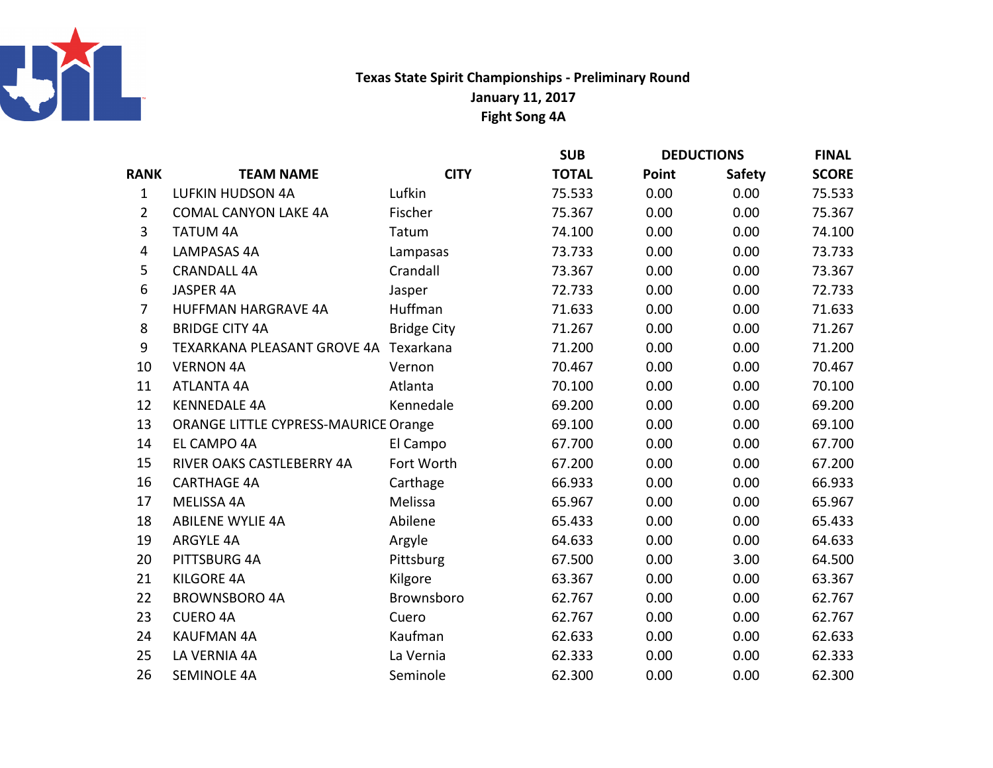

## Texas State Spirit Championships - Preliminary RoundFight Song 4AJanuary 11, 2017

|                |                                             |                    | <b>SUB</b>   | <b>DEDUCTIONS</b> |               | <b>FINAL</b> |
|----------------|---------------------------------------------|--------------------|--------------|-------------------|---------------|--------------|
| <b>RANK</b>    | <b>TEAM NAME</b>                            | <b>CITY</b>        | <b>TOTAL</b> | Point             | <b>Safety</b> | <b>SCORE</b> |
| $\mathbf{1}$   | <b>LUFKIN HUDSON 4A</b>                     | Lufkin             | 75.533       | 0.00              | 0.00          | 75.533       |
| $\overline{2}$ | <b>COMAL CANYON LAKE 4A</b>                 | Fischer            | 75.367       | 0.00              | 0.00          | 75.367       |
| 3              | <b>TATUM 4A</b>                             | Tatum              | 74.100       | 0.00              | 0.00          | 74.100       |
| 4              | <b>LAMPASAS 4A</b>                          | Lampasas           | 73.733       | 0.00              | 0.00          | 73.733       |
| 5              | <b>CRANDALL 4A</b>                          | Crandall           | 73.367       | 0.00              | 0.00          | 73.367       |
| 6              | JASPER 4A                                   | Jasper             | 72.733       | 0.00              | 0.00          | 72.733       |
| $\overline{7}$ | <b>HUFFMAN HARGRAVE 4A</b>                  | Huffman            | 71.633       | 0.00              | 0.00          | 71.633       |
| 8              | <b>BRIDGE CITY 4A</b>                       | <b>Bridge City</b> | 71.267       | 0.00              | 0.00          | 71.267       |
| 9              | TEXARKANA PLEASANT GROVE 4A Texarkana       |                    | 71.200       | 0.00              | 0.00          | 71.200       |
| 10             | <b>VERNON 4A</b>                            | Vernon             | 70.467       | 0.00              | 0.00          | 70.467       |
| 11             | <b>ATLANTA 4A</b>                           | Atlanta            | 70.100       | 0.00              | 0.00          | 70.100       |
| 12             | <b>KENNEDALE 4A</b>                         | Kennedale          | 69.200       | 0.00              | 0.00          | 69.200       |
| 13             | <b>ORANGE LITTLE CYPRESS-MAURICE Orange</b> |                    | 69.100       | 0.00              | 0.00          | 69.100       |
| 14             | EL CAMPO 4A                                 | El Campo           | 67.700       | 0.00              | 0.00          | 67.700       |
| 15             | RIVER OAKS CASTLEBERRY 4A                   | Fort Worth         | 67.200       | 0.00              | 0.00          | 67.200       |
| 16             | <b>CARTHAGE 4A</b>                          | Carthage           | 66.933       | 0.00              | 0.00          | 66.933       |
| 17             | MELISSA 4A                                  | Melissa            | 65.967       | 0.00              | 0.00          | 65.967       |
| 18             | <b>ABILENE WYLIE 4A</b>                     | Abilene            | 65.433       | 0.00              | 0.00          | 65.433       |
| 19             | <b>ARGYLE 4A</b>                            | Argyle             | 64.633       | 0.00              | 0.00          | 64.633       |
| 20             | PITTSBURG 4A                                | Pittsburg          | 67.500       | 0.00              | 3.00          | 64.500       |
| 21             | <b>KILGORE 4A</b>                           | Kilgore            | 63.367       | 0.00              | 0.00          | 63.367       |
| 22             | <b>BROWNSBORO 4A</b>                        | Brownsboro         | 62.767       | 0.00              | 0.00          | 62.767       |
| 23             | <b>CUERO 4A</b>                             | Cuero              | 62.767       | 0.00              | 0.00          | 62.767       |
| 24             | <b>KAUFMAN 4A</b>                           | Kaufman            | 62.633       | 0.00              | 0.00          | 62.633       |
| 25             | LA VERNIA 4A                                | La Vernia          | 62.333       | 0.00              | 0.00          | 62.333       |
| 26             | <b>SEMINOLE 4A</b>                          | Seminole           | 62.300       | 0.00              | 0.00          | 62.300       |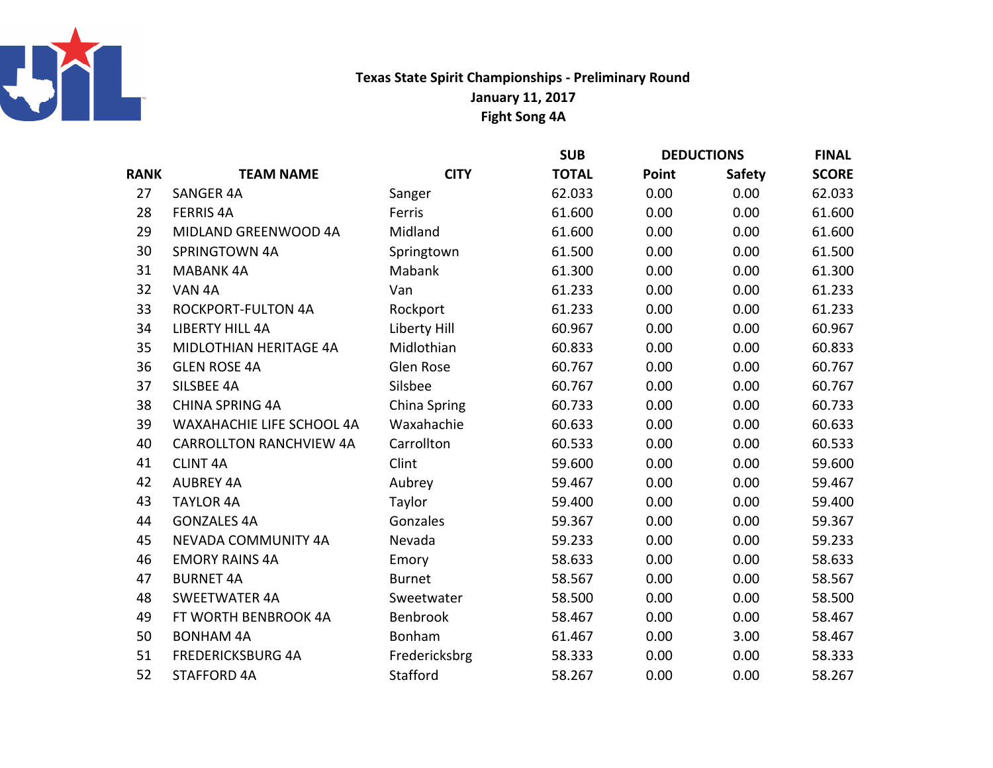

## Texas State Spirit Championships - Preliminary RoundFight Song 4A January 11, 2017

|             |                                |                  | <b>SUB</b>   | <b>DEDUCTIONS</b> |               | <b>FINAL</b> |
|-------------|--------------------------------|------------------|--------------|-------------------|---------------|--------------|
| <b>RANK</b> | <b>TEAM NAME</b>               | <b>CITY</b>      | <b>TOTAL</b> | Point             | <b>Safety</b> | <b>SCORE</b> |
| 27          | <b>SANGER 4A</b>               | Sanger           | 62.033       | 0.00              | 0.00          | 62.033       |
| 28          | <b>FERRIS 4A</b>               | Ferris           | 61.600       | 0.00              | 0.00          | 61.600       |
| 29          | MIDLAND GREENWOOD 4A           | Midland          | 61.600       | 0.00              | 0.00          | 61.600       |
| 30          | SPRINGTOWN 4A                  | Springtown       | 61.500       | 0.00              | 0.00          | 61.500       |
| 31          | <b>MABANK 4A</b>               | Mabank           | 61.300       | 0.00              | 0.00          | 61.300       |
| 32          | VAN 4A                         | Van              | 61.233       | 0.00              | 0.00          | 61.233       |
| 33          | <b>ROCKPORT-FULTON 4A</b>      | Rockport         | 61.233       | 0.00              | 0.00          | 61.233       |
| 34          | <b>LIBERTY HILL 4A</b>         | Liberty Hill     | 60.967       | 0.00              | 0.00          | 60.967       |
| 35          | MIDLOTHIAN HERITAGE 4A         | Midlothian       | 60.833       | 0.00              | 0.00          | 60.833       |
| 36          | <b>GLEN ROSE 4A</b>            | <b>Glen Rose</b> | 60.767       | 0.00              | 0.00          | 60.767       |
| 37          | SILSBEE 4A                     | Silsbee          | 60.767       | 0.00              | 0.00          | 60.767       |
| 38          | <b>CHINA SPRING 4A</b>         | China Spring     | 60.733       | 0.00              | 0.00          | 60.733       |
| 39          | WAXAHACHIE LIFE SCHOOL 4A      | Waxahachie       | 60.633       | 0.00              | 0.00          | 60.633       |
| 40          | <b>CARROLLTON RANCHVIEW 4A</b> | Carrollton       | 60.533       | 0.00              | 0.00          | 60.533       |
| 41          | <b>CLINT 4A</b>                | Clint            | 59.600       | 0.00              | 0.00          | 59.600       |
| 42          | <b>AUBREY 4A</b>               | Aubrey           | 59.467       | 0.00              | 0.00          | 59.467       |
| 43          | <b>TAYLOR 4A</b>               | Taylor           | 59.400       | 0.00              | 0.00          | 59.400       |
| 44          | <b>GONZALES 4A</b>             | Gonzales         | 59.367       | 0.00              | 0.00          | 59.367       |
| 45          | <b>NEVADA COMMUNITY 4A</b>     | Nevada           | 59.233       | 0.00              | 0.00          | 59.233       |
| 46          | <b>EMORY RAINS 4A</b>          | Emory            | 58.633       | 0.00              | 0.00          | 58.633       |
| 47          | <b>BURNET 4A</b>               | <b>Burnet</b>    | 58.567       | 0.00              | 0.00          | 58.567       |
| 48          | <b>SWEETWATER 4A</b>           | Sweetwater       | 58.500       | 0.00              | 0.00          | 58.500       |
| 49          | FT WORTH BENBROOK 4A           | Benbrook         | 58.467       | 0.00              | 0.00          | 58.467       |
| 50          | <b>BONHAM 4A</b>               | Bonham           | 61.467       | 0.00              | 3.00          | 58.467       |
| 51          | <b>FREDERICKSBURG 4A</b>       | Fredericksbrg    | 58.333       | 0.00              | 0.00          | 58.333       |
| 52          | <b>STAFFORD 4A</b>             | Stafford         | 58.267       | 0.00              | 0.00          | 58.267       |